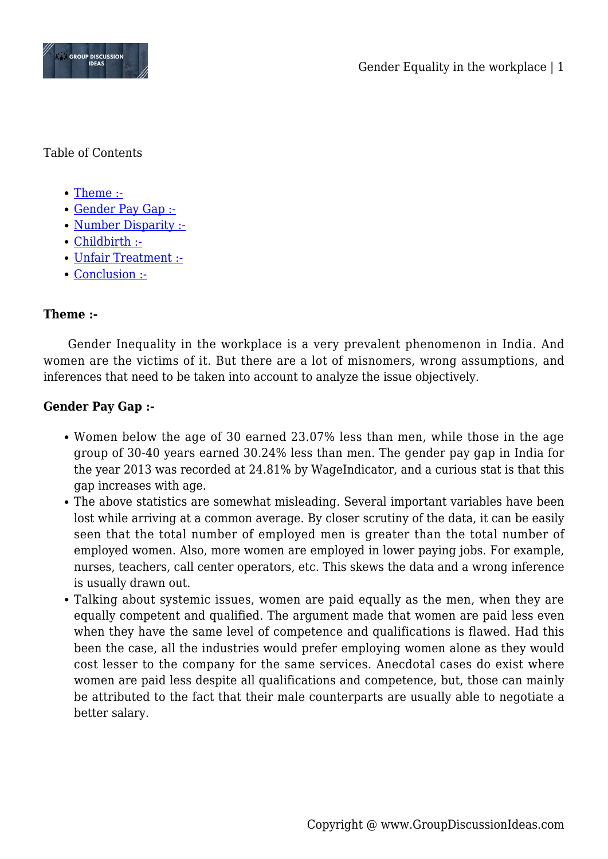

Table of Contents

- [Theme :-](#page--1-0)
- [Gender Pay Gap :-](#page--1-0)
- [Number Disparity :-](#page--1-0)
- [Childbirth :-](#page--1-0)
- [Unfair Treatment :-](#page--1-0)
- [Conclusion :-](#page--1-0)

# **Theme :-**

Gender Inequality in the workplace is a very prevalent phenomenon in India. And women are the victims of it. But there are a lot of misnomers, wrong assumptions, and inferences that need to be taken into account to analyze the issue objectively.

### **Gender Pay Gap :-**

- Women below the age of 30 earned 23.07% less than men, while those in the age group of 30-40 years earned 30.24% less than men. The gender pay gap in India for the year 2013 was recorded at 24.81% by WageIndicator, and a curious stat is that this gap increases with age.
- The above statistics are somewhat misleading. Several important variables have been lost while arriving at a common average. By closer scrutiny of the data, it can be easily seen that the total number of employed men is greater than the total number of employed women. Also, more women are employed in lower paying jobs. For example, nurses, teachers, call center operators, etc. This skews the data and a wrong inference is usually drawn out.
- Talking about systemic issues, women are paid equally as the men, when they are equally competent and qualified. The argument made that women are paid less even when they have the same level of competence and qualifications is flawed. Had this been the case, all the industries would prefer employing women alone as they would cost lesser to the company for the same services. Anecdotal cases do exist where women are paid less despite all qualifications and competence, but, those can mainly be attributed to the fact that their male counterparts are usually able to negotiate a better salary.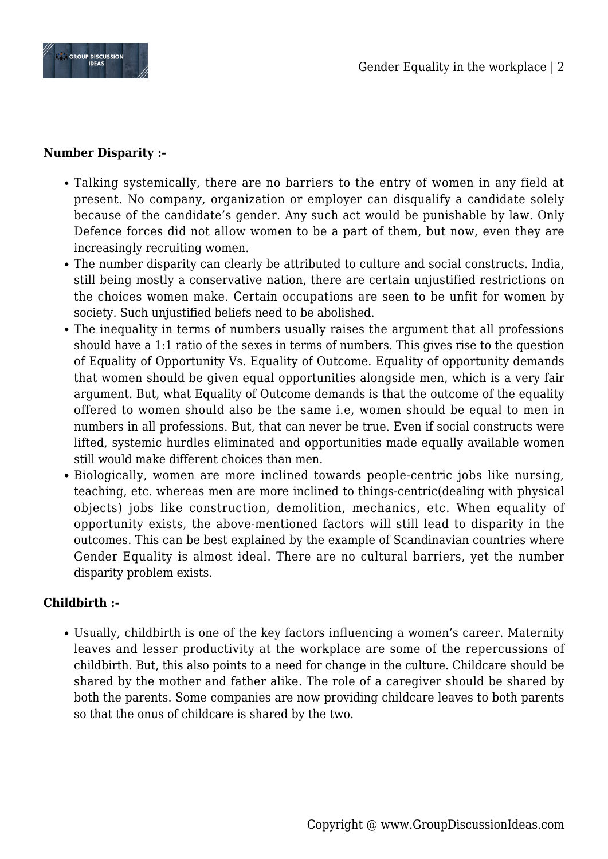

## **Number Disparity :-**

- Talking systemically, there are no barriers to the entry of women in any field at present. No company, organization or employer can disqualify a candidate solely because of the candidate's gender. Any such act would be punishable by law. Only Defence forces did not allow women to be a part of them, but now, even they are increasingly recruiting women.
- The number disparity can clearly be attributed to culture and social constructs. India, still being mostly a conservative nation, there are certain unjustified restrictions on the choices women make. Certain occupations are seen to be unfit for women by society. Such unjustified beliefs need to be abolished.
- The inequality in terms of numbers usually raises the argument that all professions should have a 1:1 ratio of the sexes in terms of numbers. This gives rise to the question of Equality of Opportunity Vs. Equality of Outcome. Equality of opportunity demands that women should be given equal opportunities alongside men, which is a very fair argument. But, what Equality of Outcome demands is that the outcome of the equality offered to women should also be the same i.e, women should be equal to men in numbers in all professions. But, that can never be true. Even if social constructs were lifted, systemic hurdles eliminated and opportunities made equally available women still would make different choices than men.
- Biologically, women are more inclined towards people-centric jobs like nursing, teaching, etc. whereas men are more inclined to things-centric(dealing with physical objects) jobs like construction, demolition, mechanics, etc. When equality of opportunity exists, the above-mentioned factors will still lead to disparity in the outcomes. This can be best explained by the example of Scandinavian countries where Gender Equality is almost ideal. There are no cultural barriers, yet the number disparity problem exists.

### **Childbirth :-**

Usually, childbirth is one of the key factors influencing a women's career. Maternity leaves and lesser productivity at the workplace are some of the repercussions of childbirth. But, this also points to a need for change in the culture. Childcare should be shared by the mother and father alike. The role of a caregiver should be shared by both the parents. Some companies are now providing childcare leaves to both parents so that the onus of childcare is shared by the two.